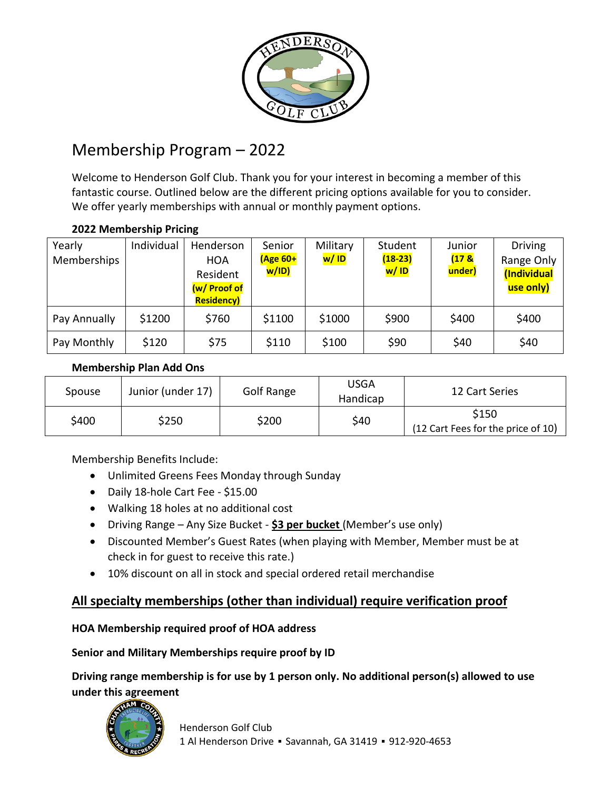

# Membership Program – 2022

Welcome to Henderson Golf Club. Thank you for your interest in becoming a member of this fantastic course. Outlined below are the different pricing options available for you to consider. We offer yearly memberships with annual or monthly payment options.

| Yearly<br>Memberships | Individual | Henderson<br><b>HOA</b><br>Resident<br>(w/ Proof of<br><b>Residency)</b> | Senior<br>$(Age 60+$<br><mark>w/ID)</mark> | Military<br>w/ID | Student<br>$(18-23)$<br>w/ID | Junior<br>(17 <sup>8</sup> )<br>under) | <b>Driving</b><br>Range Only<br>(Individual<br>use only) |
|-----------------------|------------|--------------------------------------------------------------------------|--------------------------------------------|------------------|------------------------------|----------------------------------------|----------------------------------------------------------|
| Pay Annually          | \$1200     | \$760                                                                    | \$1100                                     | \$1000           | \$900                        | \$400                                  | \$400                                                    |
| Pay Monthly           | \$120      | \$75                                                                     | \$110                                      | \$100            | \$90                         | \$40                                   | \$40                                                     |

## **2022 Membership Pricing**

#### **Membership Plan Add Ons**

| Spouse | Junior (under 17) | Golf Range | USGA<br>Handicap | 12 Cart Series                              |
|--------|-------------------|------------|------------------|---------------------------------------------|
| \$400  | \$250             | \$200      | \$40             | \$150<br>(12 Cart Fees for the price of 10) |

Membership Benefits Include:

- Unlimited Greens Fees Monday through Sunday
- Daily 18-hole Cart Fee \$15.00
- Walking 18 holes at no additional cost
- Driving Range Any Size Bucket **\$3 per bucket** (Member's use only)
- Discounted Member's Guest Rates (when playing with Member, Member must be at check in for guest to receive this rate.)
- 10% discount on all in stock and special ordered retail merchandise

# **All specialty memberships (other than individual) require verification proof**

## **HOA Membership required proof of HOA address**

## **Senior and Military Memberships require proof by ID**

**Driving range membership is for use by 1 person only. No additional person(s) allowed to use under this agreement**